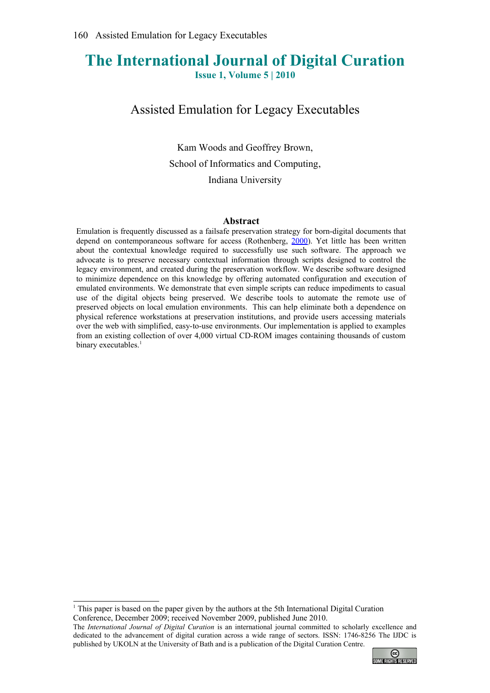# **The International Journal of Digital Curation Issue 1, Volume 5 | 2010**

Assisted Emulation for Legacy Executables

Kam Woods and Geoffrey Brown, School of Informatics and Computing, Indiana University

#### **Abstract**

Emulation is frequently discussed as a failsafe preservation strategy for born-digital documents that depend on contemporaneous software for access (Rothenberg, [2000\)](#page-11-0). Yet little has been written about the contextual knowledge required to successfully use such software. The approach we advocate is to preserve necessary contextual information through scripts designed to control the legacy environment, and created during the preservation workflow. We describe software designed to minimize dependence on this knowledge by offering automated configuration and execution of emulated environments. We demonstrate that even simple scripts can reduce impediments to casual use of the digital objects being preserved. We describe tools to automate the remote use of preserved objects on local emulation environments. This can help eliminate both a dependence on physical reference workstations at preservation institutions, and provide users accessing materials over the web with simplified, easy-to-use environments. Our implementation is applied to examples from an existing collection of over 4,000 virtual CD-ROM images containing thousands of custom binary executables.<sup>[1](#page-0-0)</sup>

The *International Journal of Digital Curation* is an international journal committed to scholarly excellence and dedicated to the advancement of digital curation across a wide range of sectors. ISSN: 1746-8256 The IJDC is published by UKOLN at the University of Bath and is a publication of the Digital Curation Centre.



<span id="page-0-0"></span><sup>1</sup> This paper is based on the paper given by the authors at the 5th International Digital Curation Conference, December 2009; received November 2009, published June 2010.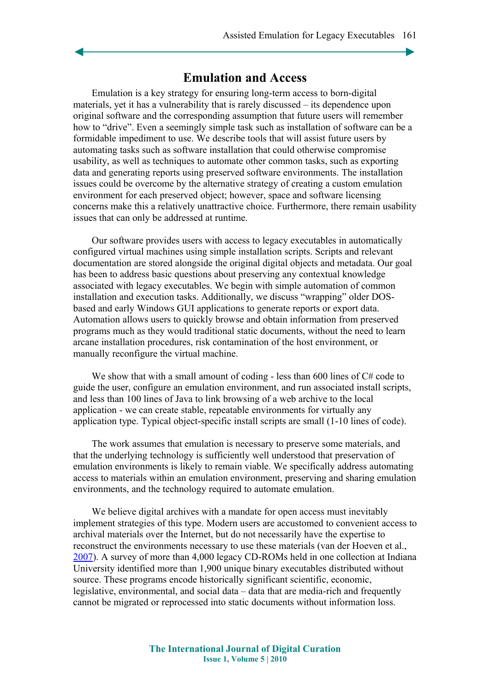### **Emulation and Access**

Emulation is a key strategy for ensuring long-term access to born-digital materials, yet it has a vulnerability that is rarely discussed – its dependence upon original software and the corresponding assumption that future users will remember how to "drive". Even a seemingly simple task such as installation of software can be a formidable impediment to use. We describe tools that will assist future users by automating tasks such as software installation that could otherwise compromise usability, as well as techniques to automate other common tasks, such as exporting data and generating reports using preserved software environments. The installation issues could be overcome by the alternative strategy of creating a custom emulation environment for each preserved object; however, space and software licensing concerns make this a relatively unattractive choice. Furthermore, there remain usability issues that can only be addressed at runtime.

Our software provides users with access to legacy executables in automatically configured virtual machines using simple installation scripts. Scripts and relevant documentation are stored alongside the original digital objects and metadata. Our goal has been to address basic questions about preserving any contextual knowledge associated with legacy executables. We begin with simple automation of common installation and execution tasks. Additionally, we discuss "wrapping" older DOSbased and early Windows GUI applications to generate reports or export data. Automation allows users to quickly browse and obtain information from preserved programs much as they would traditional static documents, without the need to learn arcane installation procedures, risk contamination of the host environment, or manually reconfigure the virtual machine.

We show that with a small amount of coding - less than 600 lines of C# code to guide the user, configure an emulation environment, and run associated install scripts, and less than 100 lines of Java to link browsing of a web archive to the local application - we can create stable, repeatable environments for virtually any application type. Typical object-specific install scripts are small (1-10 lines of code).

The work assumes that emulation is necessary to preserve some materials, and that the underlying technology is sufficiently well understood that preservation of emulation environments is likely to remain viable. We specifically address automating access to materials within an emulation environment, preserving and sharing emulation environments, and the technology required to automate emulation.

We believe digital archives with a mandate for open access must inevitably implement strategies of this type. Modern users are accustomed to convenient access to archival materials over the Internet, but do not necessarily have the expertise to reconstruct the environments necessary to use these materials (van der Hoeven et al., [2007\)](#page-11-1). A survey of more than 4,000 legacy CD-ROMs held in one collection at Indiana University identified more than 1,900 unique binary executables distributed without source. These programs encode historically significant scientific, economic, legislative, environmental, and social data – data that are media-rich and frequently cannot be migrated or reprocessed into static documents without information loss.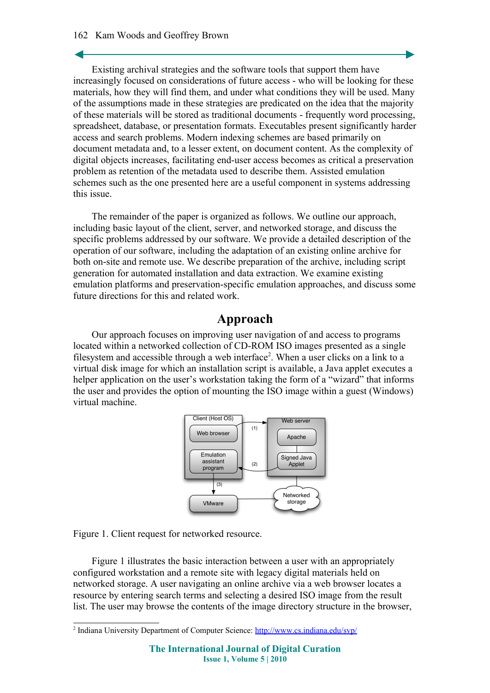#### 162 Kam Woods and Geoffrey Brown

Existing archival strategies and the software tools that support them have increasingly focused on considerations of future access - who will be looking for these materials, how they will find them, and under what conditions they will be used. Many of the assumptions made in these strategies are predicated on the idea that the majority of these materials will be stored as traditional documents - frequently word processing, spreadsheet, database, or presentation formats. Executables present significantly harder access and search problems. Modern indexing schemes are based primarily on document metadata and, to a lesser extent, on document content. As the complexity of digital objects increases, facilitating end-user access becomes as critical a preservation problem as retention of the metadata used to describe them. Assisted emulation schemes such as the one presented here are a useful component in systems addressing this issue.

The remainder of the paper is organized as follows. We outline our approach, including basic layout of the client, server, and networked storage, and discuss the specific problems addressed by our software. We provide a detailed description of the operation of our software, including the adaptation of an existing online archive for both on-site and remote use. We describe preparation of the archive, including script generation for automated installation and data extraction. We examine existing emulation platforms and preservation-specific emulation approaches, and discuss some future directions for this and related work.

### **Approach**

Our approach focuses on improving user navigation of and access to programs located within a networked collection of CD-ROM ISO images presented as a single filesystem and accessible through a web interface<sup>[2](#page-2-0)</sup>. When a user clicks on a link to a virtual disk image for which an installation script is available, a Java applet executes a helper application on the user's workstation taking the form of a "wizard" that informs the user and provides the option of mounting the ISO image within a guest (Windows) virtual machine.



Figure 1. Client request for networked resource.

Figure 1 illustrates the basic interaction between a user with an appropriately configured workstation and a remote site with legacy digital materials held on networked storage. A user navigating an online archive via a web browser locates a resource by entering search terms and selecting a desired ISO image from the result list. The user may browse the contents of the image directory structure in the browser,

<span id="page-2-0"></span><sup>&</sup>lt;sup>2</sup> Indiana University Department of Computer Science:<http://www.cs.indiana.edu/svp/>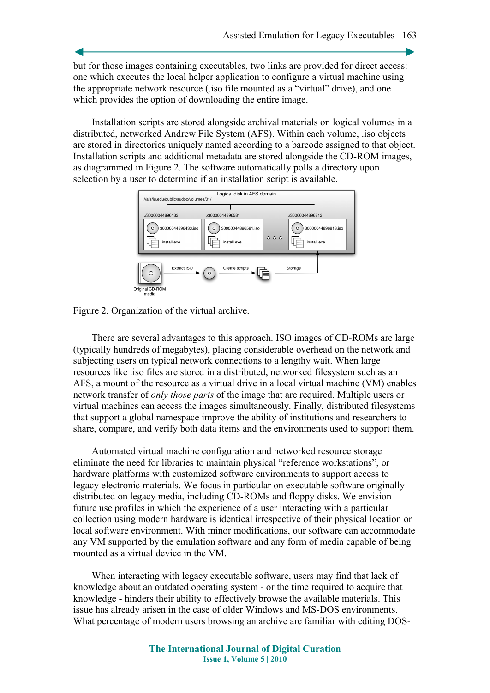but for those images containing executables, two links are provided for direct access: one which executes the local helper application to configure a virtual machine using the appropriate network resource (.iso file mounted as a "virtual" drive), and one which provides the option of downloading the entire image.

Installation scripts are stored alongside archival materials on logical volumes in a distributed, networked Andrew File System (AFS). Within each volume, .iso objects are stored in directories uniquely named according to a barcode assigned to that object. Installation scripts and additional metadata are stored alongside the CD-ROM images, as diagrammed in Figure 2. The software automatically polls a directory upon selection by a user to determine if an installation script is available.



Figure 2. Organization of the virtual archive.

There are several advantages to this approach. ISO images of CD-ROMs are large (typically hundreds of megabytes), placing considerable overhead on the network and subjecting users on typical network connections to a lengthy wait. When large resources like .iso files are stored in a distributed, networked filesystem such as an AFS, a mount of the resource as a virtual drive in a local virtual machine (VM) enables network transfer of *only those parts* of the image that are required. Multiple users or virtual machines can access the images simultaneously. Finally, distributed filesystems that support a global namespace improve the ability of institutions and researchers to share, compare, and verify both data items and the environments used to support them.

Automated virtual machine configuration and networked resource storage eliminate the need for libraries to maintain physical "reference workstations", or hardware platforms with customized software environments to support access to legacy electronic materials. We focus in particular on executable software originally distributed on legacy media, including CD-ROMs and floppy disks. We envision future use profiles in which the experience of a user interacting with a particular collection using modern hardware is identical irrespective of their physical location or local software environment. With minor modifications, our software can accommodate any VM supported by the emulation software and any form of media capable of being mounted as a virtual device in the VM.

When interacting with legacy executable software, users may find that lack of knowledge about an outdated operating system - or the time required to acquire that knowledge - hinders their ability to effectively browse the available materials. This issue has already arisen in the case of older Windows and MS-DOS environments. What percentage of modern users browsing an archive are familiar with editing DOS-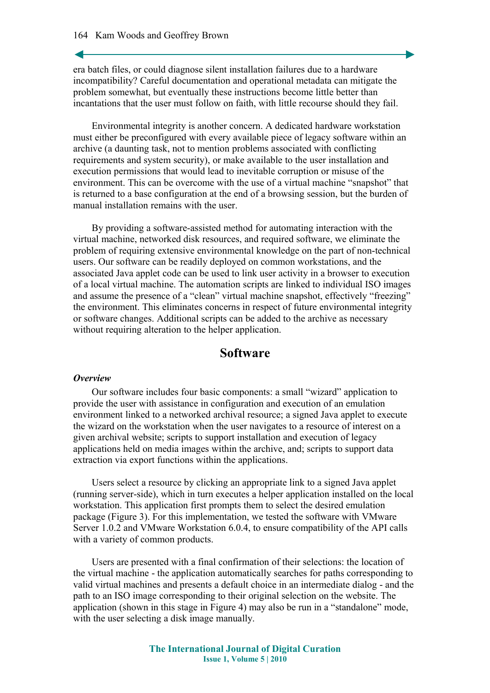era batch files, or could diagnose silent installation failures due to a hardware incompatibility? Careful documentation and operational metadata can mitigate the problem somewhat, but eventually these instructions become little better than incantations that the user must follow on faith, with little recourse should they fail.

Environmental integrity is another concern. A dedicated hardware workstation must either be preconfigured with every available piece of legacy software within an archive (a daunting task, not to mention problems associated with conflicting requirements and system security), or make available to the user installation and execution permissions that would lead to inevitable corruption or misuse of the environment. This can be overcome with the use of a virtual machine "snapshot" that is returned to a base configuration at the end of a browsing session, but the burden of manual installation remains with the user.

By providing a software-assisted method for automating interaction with the virtual machine, networked disk resources, and required software, we eliminate the problem of requiring extensive environmental knowledge on the part of non-technical users. Our software can be readily deployed on common workstations, and the associated Java applet code can be used to link user activity in a browser to execution of a local virtual machine. The automation scripts are linked to individual ISO images and assume the presence of a "clean" virtual machine snapshot, effectively "freezing" the environment. This eliminates concerns in respect of future environmental integrity or software changes. Additional scripts can be added to the archive as necessary without requiring alteration to the helper application.

# **Software**

#### *Overview*

Our software includes four basic components: a small "wizard" application to provide the user with assistance in configuration and execution of an emulation environment linked to a networked archival resource; a signed Java applet to execute the wizard on the workstation when the user navigates to a resource of interest on a given archival website; scripts to support installation and execution of legacy applications held on media images within the archive, and; scripts to support data extraction via export functions within the applications.

Users select a resource by clicking an appropriate link to a signed Java applet (running server-side), which in turn executes a helper application installed on the local workstation. This application first prompts them to select the desired emulation package (Figure 3). For this implementation, we tested the software with VMware Server 1.0.2 and VMware Workstation 6.0.4, to ensure compatibility of the API calls with a variety of common products.

Users are presented with a final confirmation of their selections: the location of the virtual machine - the application automatically searches for paths corresponding to valid virtual machines and presents a default choice in an intermediate dialog - and the path to an ISO image corresponding to their original selection on the website. The application (shown in this stage in Figure 4) may also be run in a "standalone" mode, with the user selecting a disk image manually.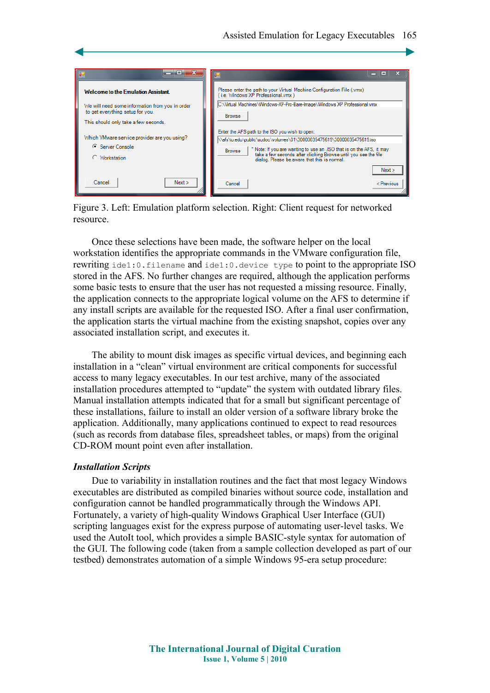

Figure 3. Left: Emulation platform selection. Right: Client request for networked resource.

Once these selections have been made, the software helper on the local workstation identifies the appropriate commands in the VMware configuration file, rewriting ide1:0.filename and ide1:0.device type to point to the appropriate ISO stored in the AFS. No further changes are required, although the application performs some basic tests to ensure that the user has not requested a missing resource. Finally, the application connects to the appropriate logical volume on the AFS to determine if any install scripts are available for the requested ISO. After a final user confirmation, the application starts the virtual machine from the existing snapshot, copies over any associated installation script, and executes it.

The ability to mount disk images as specific virtual devices, and beginning each installation in a "clean" virtual environment are critical components for successful access to many legacy executables. In our test archive, many of the associated installation procedures attempted to "update" the system with outdated library files. Manual installation attempts indicated that for a small but significant percentage of these installations, failure to install an older version of a software library broke the application. Additionally, many applications continued to expect to read resources (such as records from database files, spreadsheet tables, or maps) from the original CD-ROM mount point even after installation.

#### *Installation Scripts*

Due to variability in installation routines and the fact that most legacy Windows executables are distributed as compiled binaries without source code, installation and configuration cannot be handled programmatically through the Windows API. Fortunately, a variety of high-quality Windows Graphical User Interface (GUI) scripting languages exist for the express purpose of automating user-level tasks. We used the AutoIt tool, which provides a simple BASIC-style syntax for automation of the GUI. The following code (taken from a sample collection developed as part of our testbed) demonstrates automation of a simple Windows 95-era setup procedure: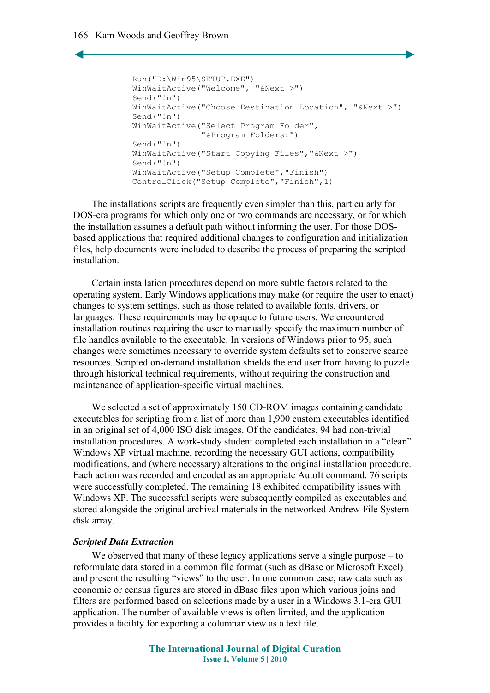```
Run("D:\Win95\SETUP.EXE")
WinWaitActive("Welcome", "&Next >")
Send("!n")
WinWaitActive("Choose Destination Location", "&Next >")
Send("!n")
WinWaitActive("Select Program Folder", 
              "&Program Folders:")
Send("!n")
WinWaitActive("Start Copying Files","&Next >")
Send("!n")
WinWaitActive("Setup Complete","Finish")
ControlClick("Setup Complete","Finish",1)
```
The installations scripts are frequently even simpler than this, particularly for DOS-era programs for which only one or two commands are necessary, or for which the installation assumes a default path without informing the user. For those DOSbased applications that required additional changes to configuration and initialization files, help documents were included to describe the process of preparing the scripted installation.

Certain installation procedures depend on more subtle factors related to the operating system. Early Windows applications may make (or require the user to enact) changes to system settings, such as those related to available fonts, drivers, or languages. These requirements may be opaque to future users. We encountered installation routines requiring the user to manually specify the maximum number of file handles available to the executable. In versions of Windows prior to 95, such changes were sometimes necessary to override system defaults set to conserve scarce resources. Scripted on-demand installation shields the end user from having to puzzle through historical technical requirements, without requiring the construction and maintenance of application-specific virtual machines.

We selected a set of approximately 150 CD-ROM images containing candidate executables for scripting from a list of more than 1,900 custom executables identified in an original set of 4,000 ISO disk images. Of the candidates, 94 had non-trivial installation procedures. A work-study student completed each installation in a "clean" Windows XP virtual machine, recording the necessary GUI actions, compatibility modifications, and (where necessary) alterations to the original installation procedure. Each action was recorded and encoded as an appropriate AutoIt command. 76 scripts were successfully completed. The remaining 18 exhibited compatibility issues with Windows XP. The successful scripts were subsequently compiled as executables and stored alongside the original archival materials in the networked Andrew File System disk array.

#### *Scripted Data Extraction*

We observed that many of these legacy applications serve a single purpose – to reformulate data stored in a common file format (such as dBase or Microsoft Excel) and present the resulting "views" to the user. In one common case, raw data such as economic or census figures are stored in dBase files upon which various joins and filters are performed based on selections made by a user in a Windows 3.1-era GUI application. The number of available views is often limited, and the application provides a facility for exporting a columnar view as a text file.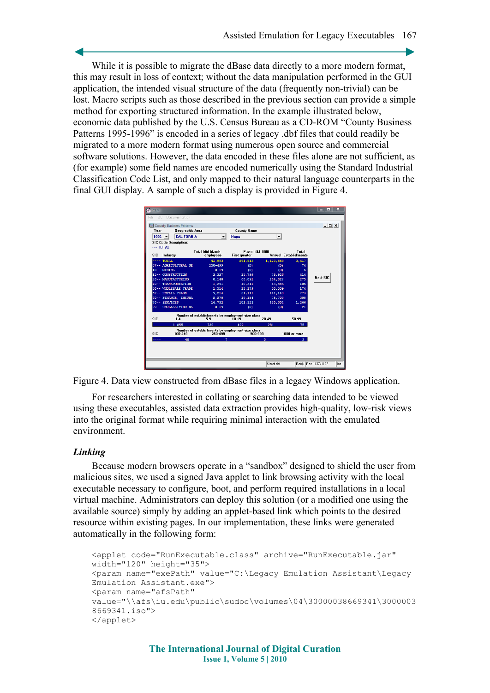While it is possible to migrate the dBase data directly to a more modern format, this may result in loss of context; without the data manipulation performed in the GUI application, the intended visual structure of the data (frequently non-trivial) can be lost. Macro scripts such as those described in the previous section can provide a simple method for exporting structured information. In the example illustrated below, economic data published by the U.S. Census Bureau as a CD-ROM "County Business Patterns 1995-1996" is encoded in a series of legacy .dbf files that could readily be migrated to a more modern format using numerous open source and commercial software solutions. However, the data encoded in these files alone are not sufficient, as (for example) some field names are encoded numerically using the Standard Industrial Classification Code List, and only mapped to their natural language counterparts in the final GUI display. A sample of such a display is provided in Figure 4.

| CBP<br>5T.                                                                                                         |                                                   |                                                                                  |            |              | x<br>▬               |
|--------------------------------------------------------------------------------------------------------------------|---------------------------------------------------|----------------------------------------------------------------------------------|------------|--------------|----------------------|
| Documentation<br>SIC<br>File                                                                                       |                                                   |                                                                                  |            |              |                      |
| County Business Patterns                                                                                           |                                                   |                                                                                  |            |              | $ \Box$ $\times$     |
| Geographic Area<br>Year                                                                                            |                                                   | County Name                                                                      |            |              |                      |
| CALIFORNIA<br>$1996 -$                                                                                             |                                                   | <b>Napa</b>                                                                      |            |              |                      |
| <b>SIC Code Description:</b>                                                                                       |                                                   |                                                                                  |            |              |                      |
| $-$ TOTAL                                                                                                          |                                                   |                                                                                  |            |              |                      |
| SIC.<br>Industry                                                                                                   | <b>Total Mid-March</b><br>employees               | <b>Pavroll (\$1,000)</b><br><b>Annual Establishments</b><br><b>First quarter</b> |            | Total        |                      |
| $---$ TOTAL                                                                                                        | 41,993                                            | 261,813                                                                          | 1,123,665  | 3,417        |                      |
| 07-- AGRICULTURAL SE                                                                                               | $250 - 499$                                       | (D)                                                                              | (D)        | 74           |                      |
| 10-- MINING                                                                                                        | $0 - 19$                                          | (D)                                                                              | (D)        | 6            |                      |
| 15-- CONSTRUCTION                                                                                                  | 2,327                                             | 15,799                                                                           | 78,926     | 414          |                      |
| 20-- MANUFACTURING                                                                                                 | 8.148                                             | 68,891                                                                           | 284,827    | 275          | Next SIC             |
| 40-- TRANSPORTATION                                                                                                | 1,291                                             | 10,311                                                                           | 43,586     | 106          |                      |
| 50-- WHOLESALE TRADE                                                                                               | 1,514                                             | 13,179                                                                           | 53,539     | 174          |                      |
| 52-- RETAIL TRADE                                                                                                  | 9,214                                             | 31,111                                                                           | 141,140    | 773          |                      |
| 60-- FINANCE, INSURA                                                                                               | 2.278                                             | 19.154                                                                           | 75,708     | 308          |                      |
| 70-- SERVICES                                                                                                      | 16.732                                            | 101,323                                                                          | 435,054    | 1.266        |                      |
| 99-- UNCLASSIFIED ES                                                                                               | $0 - 19$                                          | (D)                                                                              | (D)        | 21           |                      |
| Number of establishments by employment-size class<br><b>SIC</b><br>$20 - 49$<br>50-99<br>$10-19$<br>$1-4$<br>$5-9$ |                                                   |                                                                                  |            |              |                      |
| 1.855<br>.                                                                                                         | 732                                               | 422                                                                              | 281        | 75.          |                      |
|                                                                                                                    | Number of establishments by employment-size class |                                                                                  |            |              |                      |
| <b>SIC</b><br>100-249                                                                                              | 250-499                                           | 500-999<br>1000 or more                                                          |            |              |                      |
| 40<br>.                                                                                                            |                                                   |                                                                                  | ō          |              |                      |
|                                                                                                                    |                                                   |                                                                                  |            |              |                      |
|                                                                                                                    |                                                   |                                                                                  |            |              |                      |
|                                                                                                                    |                                                   |                                                                                  |            |              |                      |
|                                                                                                                    |                                                   |                                                                                  | Sicref dhf | <b>Rdnlu</b> | Rec 1137/1137<br>Ins |

Figure 4. Data view constructed from dBase files in a legacy Windows application.

For researchers interested in collating or searching data intended to be viewed using these executables, assisted data extraction provides high-quality, low-risk views into the original format while requiring minimal interaction with the emulated environment.

#### *Linking*

Because modern browsers operate in a "sandbox" designed to shield the user from malicious sites, we used a signed Java applet to link browsing activity with the local executable necessary to configure, boot, and perform required installations in a local virtual machine. Administrators can deploy this solution (or a modified one using the available source) simply by adding an applet-based link which points to the desired resource within existing pages. In our implementation, these links were generated automatically in the following form:

```
<applet code="RunExecutable.class" archive="RunExecutable.jar"
width="120" height="35">
<param name="exePath" value="C:\Legacy Emulation Assistant\Legacy
Emulation Assistant.exe">
<param name="afsPath"
value="\\afs\iu.edu\public\sudoc\volumes\04\30000038669341\3000003
8669341.iso">
</applet>
```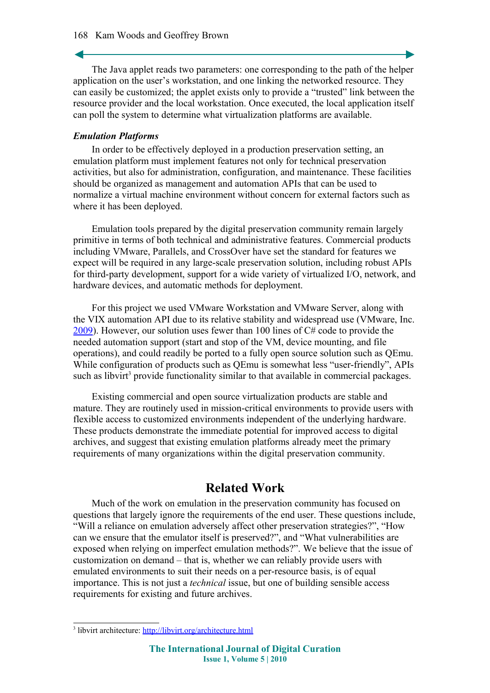The Java applet reads two parameters: one corresponding to the path of the helper application on the user's workstation, and one linking the networked resource. They can easily be customized; the applet exists only to provide a "trusted" link between the resource provider and the local workstation. Once executed, the local application itself can poll the system to determine what virtualization platforms are available.

#### *Emulation Platforms*

In order to be effectively deployed in a production preservation setting, an emulation platform must implement features not only for technical preservation activities, but also for administration, configuration, and maintenance. These facilities should be organized as management and automation APIs that can be used to normalize a virtual machine environment without concern for external factors such as where it has been deployed.

Emulation tools prepared by the digital preservation community remain largely primitive in terms of both technical and administrative features. Commercial products including VMware, Parallels, and CrossOver have set the standard for features we expect will be required in any large-scale preservation solution, including robust APIs for third-party development, support for a wide variety of virtualized I/O, network, and hardware devices, and automatic methods for deployment.

For this project we used VMware Workstation and VMware Server, along with the VIX automation API due to its relative stability and widespread use (VMware, Inc. [2009\)](#page-11-2). However, our solution uses fewer than 100 lines of C# code to provide the needed automation support (start and stop of the VM, device mounting, and file operations), and could readily be ported to a fully open source solution such as QEmu. While configuration of products such as QEmu is somewhat less "user-friendly", APIs such as libvirt<sup>[3](#page-8-0)</sup> provide functionality similar to that available in commercial packages.

Existing commercial and open source virtualization products are stable and mature. They are routinely used in mission-critical environments to provide users with flexible access to customized environments independent of the underlying hardware. These products demonstrate the immediate potential for improved access to digital archives, and suggest that existing emulation platforms already meet the primary requirements of many organizations within the digital preservation community.

## **Related Work**

Much of the work on emulation in the preservation community has focused on questions that largely ignore the requirements of the end user. These questions include, "Will a reliance on emulation adversely affect other preservation strategies?", "How can we ensure that the emulator itself is preserved?", and "What vulnerabilities are exposed when relying on imperfect emulation methods?". We believe that the issue of customization on demand – that is, whether we can reliably provide users with emulated environments to suit their needs on a per-resource basis, is of equal importance. This is not just a *technical* issue, but one of building sensible access requirements for existing and future archives.

<span id="page-8-0"></span><sup>&</sup>lt;sup>3</sup> libvirt architecture: <http://libvirt.org/architecture.html>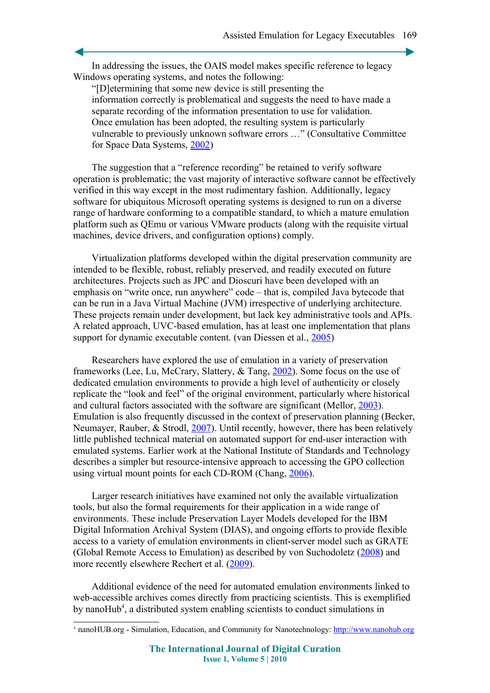In addressing the issues, the OAIS model makes specific reference to legacy Windows operating systems, and notes the following:

"[D]etermining that some new device is still presenting the information correctly is problematical and suggests the need to have made a separate recording of the information presentation to use for validation. Once emulation has been adopted, the resulting system is particularly vulnerable to previously unknown software errors …" (Consultative Committee for Space Data Systems, [2002\)](#page-11-8)

The suggestion that a "reference recording" be retained to verify software operation is problematic; the vast majority of interactive software cannot be effectively verified in this way except in the most rudimentary fashion. Additionally, legacy software for ubiquitous Microsoft operating systems is designed to run on a diverse range of hardware conforming to a compatible standard, to which a mature emulation platform such as QEmu or various VMware products (along with the requisite virtual machines, device drivers, and configuration options) comply.

Virtualization platforms developed within the digital preservation community are intended to be flexible, robust, reliably preserved, and readily executed on future architectures. Projects such as JPC and Dioscuri have been developed with an emphasis on "write once, run anywhere" code – that is, compiled Java bytecode that can be run in a Java Virtual Machine (JVM) irrespective of underlying architecture. These projects remain under development, but lack key administrative tools and APIs. A related approach, UVC-based emulation, has at least one implementation that plans support for dynamic executable content. (van Diessen et al., [2005\)](#page-11-7)

Researchers have explored the use of emulation in a variety of preservation frameworks (Lee, Lu, McCrary, Slattery, & Tang, [2002\)](#page-11-6). Some focus on the use of dedicated emulation environments to provide a high level of authenticity or closely replicate the "look and feel" of the original environment, particularly where historical and cultural factors associated with the software are significant (Mellor, [2003\)](#page-11-5). Emulation is also frequently discussed in the context of preservation planning (Becker, Neumayer, Rauber, & Strodl, [2007\)](#page-10-1). Until recently, however, there has been relatively little published technical material on automated support for end-user interaction with emulated systems. Earlier work at the National Institute of Standards and Technology describes a simpler but resource-intensive approach to accessing the GPO collection using virtual mount points for each CD-ROM (Chang, [2006\)](#page-10-0).

Larger research initiatives have examined not only the available virtualization tools, but also the formal requirements for their application in a wide range of environments. These include Preservation Layer Models developed for the IBM Digital Information Archival System (DIAS), and ongoing efforts to provide flexible access to a variety of emulation environments in client-server model such as GRATE (Global Remote Access to Emulation) as described by von Suchodoletz [\(2008\)](#page-11-4) and more recently elsewhere Rechert et al. [\(2009\)](#page-11-3).

Additional evidence of the need for automated emulation environments linked to web-accessible archives comes directly from practicing scientists. This is exemplified by nanoHub<sup>[4](#page-9-0)</sup>, a distributed system enabling scientists to conduct simulations in

<span id="page-9-0"></span><sup>&</sup>lt;sup>4</sup> nanoHUB.org - Simulation, Education, and Community for Nanotechnology: [http://www.nanohub.org](http://www.nanohub.org/)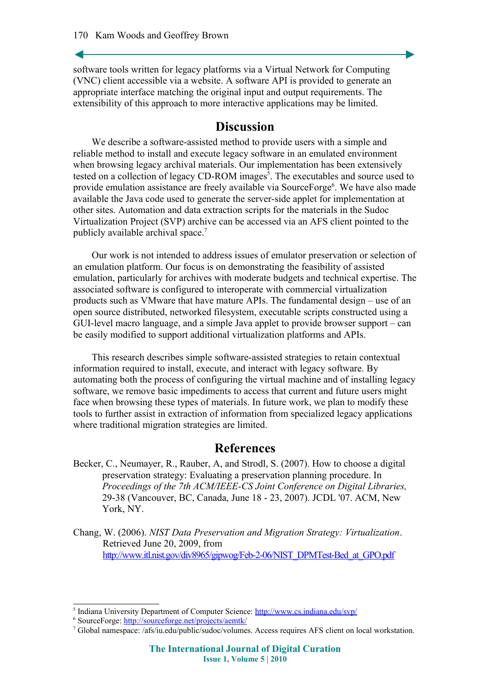software tools written for legacy platforms via a Virtual Network for Computing (VNC) client accessible via a website. A software API is provided to generate an appropriate interface matching the original input and output requirements. The extensibility of this approach to more interactive applications may be limited.

## **Discussion**

We describe a software-assisted method to provide users with a simple and reliable method to install and execute legacy software in an emulated environment when browsing legacy archival materials. Our implementation has been extensively tested on a collection of legacy CD-ROM images<sup>[5](#page-10-2)</sup>. The executables and source used to provide emulation assistance are freely available via SourceForge<sup>[6](#page-10-3)</sup>. We have also made available the Java code used to generate the server-side applet for implementation at other sites. Automation and data extraction scripts for the materials in the Sudoc Virtualization Project (SVP) archive can be accessed via an AFS client pointed to the publicly available archival space.[7](#page-10-4)

Our work is not intended to address issues of emulator preservation or selection of an emulation platform. Our focus is on demonstrating the feasibility of assisted emulation, particularly for archives with moderate budgets and technical expertise. The associated software is configured to interoperate with commercial virtualization products such as VMware that have mature APIs. The fundamental design – use of an open source distributed, networked filesystem, executable scripts constructed using a GUI-level macro language, and a simple Java applet to provide browser support – can be easily modified to support additional virtualization platforms and APIs.

This research describes simple software-assisted strategies to retain contextual information required to install, execute, and interact with legacy software. By automating both the process of configuring the virtual machine and of installing legacy software, we remove basic impediments to access that current and future users might face when browsing these types of materials. In future work, we plan to modify these tools to further assist in extraction of information from specialized legacy applications where traditional migration strategies are limited.

## **References**

- <span id="page-10-1"></span>Becker, C., Neumayer, R., Rauber, A, and Strodl, S. (2007). How to choose a digital preservation strategy: Evaluating a preservation planning procedure. In *Proceedings of the 7th ACM/IEEE-CS Joint Conference on Digital Libraries,* 29-38 (Vancouver, BC, Canada, June 18 - 23, 2007). JCDL '07. ACM, New York, NY.
- <span id="page-10-0"></span>Chang, W. (2006). *NIST Data Preservation and Migration Strategy: Virtualization*. Retrieved June 20, 2009, from http://www.itl.nist.gov/div8965/gipwog/Feb-2-06/NIST\_DPMTest-Bed\_at\_GPO.pdf

<span id="page-10-2"></span><sup>&</sup>lt;sup>5</sup> Indiana University Department of Computer Science: <http://www.cs.indiana.edu/svp/>

<span id="page-10-3"></span><sup>&</sup>lt;sup>6</sup> SourceForge:<http://sourceforge.net/projects/aemtk/>

<span id="page-10-4"></span><sup>7</sup> Global namespace: /afs/iu.edu/public/sudoc/volumes. Access requires AFS client on local workstation.